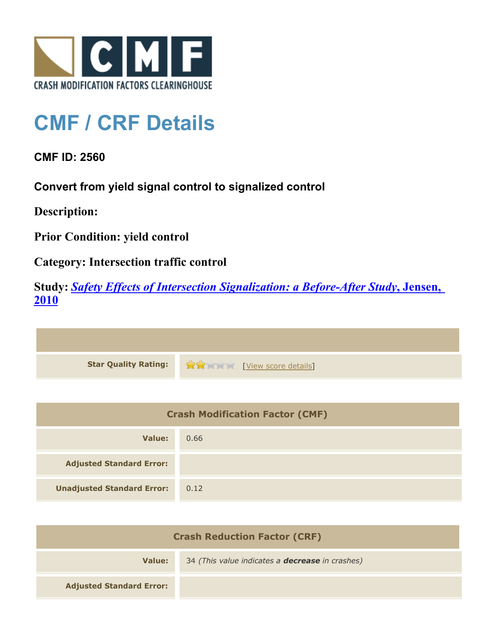

## **CMF / CRF Details**

**CMF ID: 2560**

**Convert from yield signal control to signalized control**

**Description:** 

**Prior Condition: yield control**

**Category: Intersection traffic control**

**Study:** *[Safety Effects of Intersection Signalization: a Before-After Study](http://www.cmfclearinghouse.org/study_detail.cfm?stid=170)***[, Jensen,](http://www.cmfclearinghouse.org/study_detail.cfm?stid=170) [2010](http://www.cmfclearinghouse.org/study_detail.cfm?stid=170)**



| <b>Crash Modification Factor (CMF)</b> |      |
|----------------------------------------|------|
| Value:                                 | 0.66 |
| <b>Adjusted Standard Error:</b>        |      |
| <b>Unadjusted Standard Error:</b>      | 0.12 |

| <b>Crash Reduction Factor (CRF)</b> |                                                        |
|-------------------------------------|--------------------------------------------------------|
| Value:                              | 34 (This value indicates a <b>decrease</b> in crashes) |
| <b>Adjusted Standard Error:</b>     |                                                        |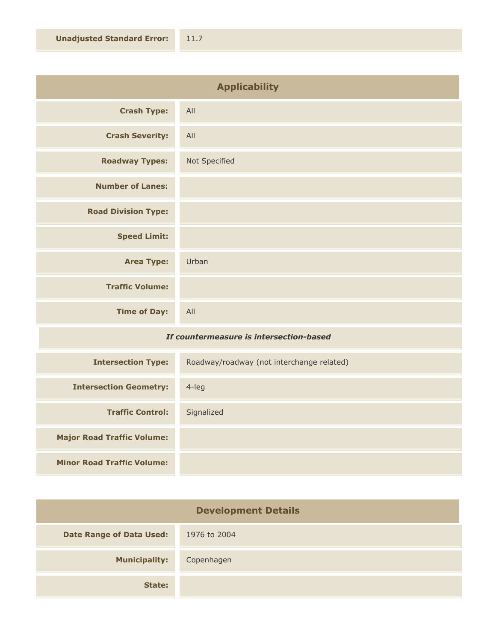| <b>Applicability</b>       |               |
|----------------------------|---------------|
| <b>Crash Type:</b>         | All           |
| <b>Crash Severity:</b>     | All           |
| <b>Roadway Types:</b>      | Not Specified |
| <b>Number of Lanes:</b>    |               |
| <b>Road Division Type:</b> |               |
| <b>Speed Limit:</b>        |               |
| <b>Area Type:</b>          | Urban         |
| <b>Traffic Volume:</b>     |               |
| <b>Time of Day:</b>        | All           |

## *If countermeasure is intersection-based*

| <b>Intersection Type:</b>         | Roadway/roadway (not interchange related) |
|-----------------------------------|-------------------------------------------|
| <b>Intersection Geometry:</b>     | $4$ -leg                                  |
| <b>Traffic Control:</b>           | Signalized                                |
| <b>Major Road Traffic Volume:</b> |                                           |
| <b>Minor Road Traffic Volume:</b> |                                           |

| <b>Development Details</b>      |              |
|---------------------------------|--------------|
| <b>Date Range of Data Used:</b> | 1976 to 2004 |
| <b>Municipality:</b>            | Copenhagen   |
| State:                          |              |